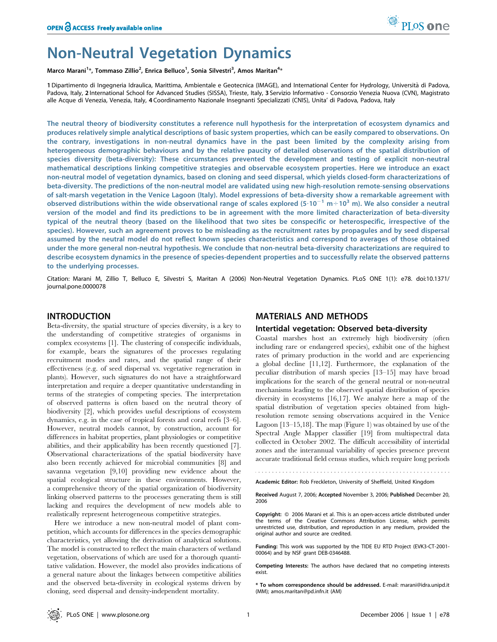

# Non-Neutral Vegetation Dynamics

Marco Marani<sup>1</sup>\*, Tommaso Zillio<sup>2</sup>, Enrica Belluco<sup>1</sup>, Sonia Silvestri<sup>3</sup>, Amos Maritan<sup>4</sup>\*

1Dipartimento di Ingegneria Idraulica, Marittima, Ambientale e Geotecnica (IMAGE), and International Center for Hydrology, Universita` di Padova, Padova, Italy, 2 International School for Advanced Studies (SISSA), Trieste, Italy, 3 Servizio Informativo - Consorzio Venezia Nuova (CVN), Magistrato alle Acque di Venezia, Venezia, Italy, 4 Coordinamento Nazionale Insegnanti Specializzati (CNIS), Unita' di Padova, Padova, Italy

The neutral theory of biodiversity constitutes a reference null hypothesis for the interpretation of ecosystem dynamics and produces relatively simple analytical descriptions of basic system properties, which can be easily compared to observations. On the contrary, investigations in non-neutral dynamics have in the past been limited by the complexity arising from heterogeneous demographic behaviours and by the relative paucity of detailed observations of the spatial distribution of species diversity (beta-diversity): These circumstances prevented the development and testing of explicit non-neutral mathematical descriptions linking competitive strategies and observable ecosystem properties. Here we introduce an exact non-neutral model of vegetation dynamics, based on cloning and seed dispersal, which yields closed-form characterizations of beta-diversity. The predictions of the non-neutral model are validated using new high-resolution remote-sensing observations of salt-marsh vegetation in the Venice Lagoon (Italy). Model expressions of beta-diversity show a remarkable agreement with observed distributions within the wide observational range of scales explored (5·10<sup>-1</sup> m  $\div$  10<sup>3</sup> m). We also consider a neutral version of the model and find its predictions to be in agreement with the more limited characterization of beta-diversity typical of the neutral theory (based on the likelihood that two sites be conspecific or heterospecific, irrespective of the species). However, such an agreement proves to be misleading as the recruitment rates by propagules and by seed dispersal assumed by the neutral model do not reflect known species characteristics and correspond to averages of those obtained under the more general non-neutral hypothesis. We conclude that non-neutral beta-diversity characterizations are required to describe ecosystem dynamics in the presence of species-dependent properties and to successfully relate the observed patterns to the underlying processes.

Citation: Marani M, Zillio T, Belluco E, Silvestri S, Maritan A (2006) Non-Neutral Vegetation Dynamics. PLoS ONE 1(1): e78. doi:10.1371/ journal.pone.0000078

#### INTRODUCTION

Beta-diversity, the spatial structure of species diversity, is a key to the understanding of competitive strategies of organisms in complex ecosystems [1]. The clustering of conspecific individuals, for example, bears the signatures of the processes regulating recruitment modes and rates, and the spatial range of their effectiveness (e.g. of seed dispersal vs. vegetative regeneration in plants). However, such signatures do not have a straightforward interpretation and require a deeper quantitative understanding in terms of the strategies of competing species. The interpretation of observed patterns is often based on the neutral theory of biodiversity [2], which provides useful descriptions of ecosystem dynamics, e.g. in the case of tropical forests and coral reefs [3–6]. However, neutral models cannot, by construction, account for differences in habitat properties, plant physiologies or competitive abilities, and their applicability has been recently questioned [7]. Observational characterizations of the spatial biodiversity have also been recently achieved for microbial communities [8] and savanna vegetation [9,10] providing new evidence about the spatial ecological structure in these environments. However, a comprehensive theory of the spatial organization of biodiversity linking observed patterns to the processes generating them is still lacking and requires the development of new models able to realistically represent heterogeneous competitive strategies.

Here we introduce a new non-neutral model of plant competition, which accounts for differences in the species demographic characteristics, yet allowing the derivation of analytical solutions. The model is constructed to reflect the main characters of wetland vegetation, observations of which are used for a thorough quantitative validation. However, the model also provides indications of a general nature about the linkages between competitive abilities and the observed beta-diversity in ecological systems driven by cloning, seed dispersal and density-independent mortality.

## MATERIALS AND METHODS

#### Intertidal vegetation: Observed beta-diversity

Coastal marshes host an extremely high biodiversity (often including rare or endangered species), exhibit one of the highest rates of primary production in the world and are experiencing a global decline [11,12]. Furthermore, the explanation of the peculiar distribution of marsh species [13–15] may have broad implications for the search of the general neutral or non-neutral mechanisms leading to the observed spatial distribution of species diversity in ecosystems [16,17]. We analyze here a map of the spatial distribution of vegetation species obtained from highresolution remote sensing observations acquired in the Venice Lagoon [13–15,18]. The map (Figure 1) was obtained by use of the Spectral Angle Mapper classifier [19] from multispectral data collected in October 2002. The difficult accessibility of intertidal zones and the interannual variability of species presence prevent accurate traditional field census studies, which require long periods

Academic Editor: Rob Freckleton, University of Sheffield, United Kingdom

Received August 7, 2006; Accepted November 3, 2006; Published December 20, 2006

Copyright: 2006 Marani et al. This is an open-access article distributed under the terms of the Creative Commons Attribution License, which permits unrestricted use, distribution, and reproduction in any medium, provided the original author and source are credited.

Funding: This work was supported by the TIDE EU RTD Project (EVK3-CT-2001- 00064) and by NSF grant DEB-0346488.

Competing Interests: The authors have declared that no competing interests exist.

\* To whom correspondence should be addressed. E-mail: marani@idra.unipd.it (MM); amos.maritan@pd.infn.it (AM)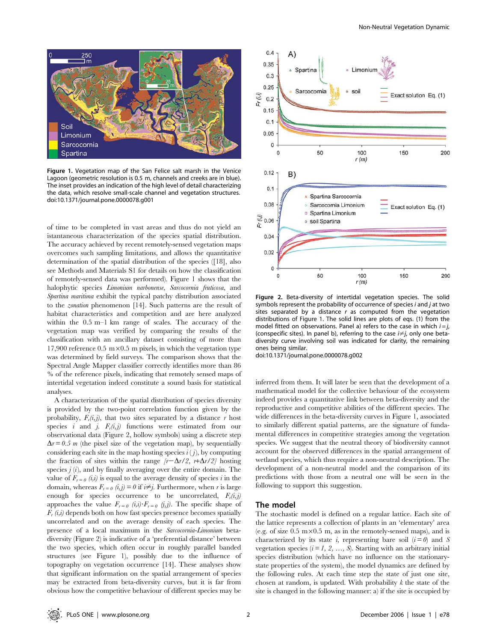

Figure 1. Vegetation map of the San Felice salt marsh in the Venice Lagoon (geometric resolution is 0.5 m, channels and creeks are in blue). The inset provides an indication of the high level of detail characterizing the data, which resolve small-scale channel and vegetation structures. doi:10.1371/journal.pone.0000078.g001

of time to be completed in vast areas and thus do not yield an istantaneous characterization of the species spatial distribution. The accuracy achieved by recent remotely-sensed vegetation maps overcomes such sampling limitations, and allows the quantitative determination of the spatial distribution of the species ([18], also see Methods and Materials S1 for details on how the classification of remotely-sensed data was performed). Figure 1 shows that the halophytic species Limonium narbonense, Sarcocornia fruticosa, and Spartina maritima exhibit the typical patchy distribution associated to the zonation phenomenon [14]. Such patterns are the result of habitat characteristics and competition and are here analyzed within the 0.5 m–1 km range of scales. The accuracy of the vegetation map was verified by comparing the results of the classification with an ancillary dataset consisting of more than 17,900 reference  $0.5 \text{ m} \times 0.5 \text{ m}$  pixels, in which the vegetation type was determined by field surveys. The comparison shows that the Spectral Angle Mapper classifier correctly identifies more than 86 % of the reference pixels, indicating that remotely sensed maps of intertidal vegetation indeed constitute a sound basis for statistical analyses.

A characterization of the spatial distribution of species diversity is provided by the two-point correlation function given by the probability,  $F_r(i, j)$ , that two sites separated by a distance r host species i and j.  $F_r(i, j)$  functions were estimated from our observational data (Figure 2, hollow symbols) using a discrete step  $\Delta r = 0.5$  m (the pixel size of the vegetation map), by sequentially considering each site in the map hosting species  $i(j)$ , by computing the fraction of sites within the range  $[r-\Delta r/2, r+\Delta r/2]$  hosting species  $j(i)$ , and by finally averaging over the entire domain. The value of  $F_{r=0}$  (i,i) is equal to the average density of species i in the domain, whereas  $F_{r=0}$  (i,j) = 0 if i $\neq j$ . Furthermore, when r is large enough for species occurrence to be uncorrelated,  $F_r(i, j)$ approaches the value  $F_{r=0}$  (*i,i*) $\cdot$  $F_{r=0}$  (*j,j*). The specific shape of  $F_r(i,i)$  depends both on how fast species presence becomes spatially uncorrelated and on the average density of each species. The presence of a local maximum in the Sarcocornia-Limonium betadiversity (Figure 2) is indicative of a 'preferential distance' between the two species, which often occur in roughly parallel banded structures (see Figure 1), possibly due to the influence of topography on vegetation occurrence [14]. These analyses show that significant information on the spatial arrangement of species may be extracted from beta-diversity curves, but it is far from obvious how the competitive behaviour of different species may be



Figure 2. Beta-diversity of intertidal vegetation species. The solid symbols represent the probability of occurrence of species *i* and *j* at two sites separated by a distance  $r$  as computed from the vegetation distributions of Figure 1. The solid lines are plots of eqs. (1) from the model fitted on observations. Panel a) refers to the case in which  $i=j$ , (conspecific sites). In panel b), referring to the case  $i\neq j$ , only one betadiversity curve involving soil was indicated for clarity, the remaining ones being similar.

doi:10.1371/journal.pone.0000078.g002

inferred from them. It will later be seen that the development of a mathematical model for the collective behaviour of the ecosystem indeed provides a quantitative link between beta-diversity and the reproductive and competitive abilities of the different species. The wide differences in the beta-diversity curves in Figure 1, associated to similarly different spatial patterns, are the signature of fundamental differences in competitive strategies among the vegetation species. We suggest that the neutral theory of biodiversity cannot account for the observed differences in the spatial arrangement of wetland species, which thus require a non-neutral description. The development of a non-neutral model and the comparison of its predictions with those from a neutral one will be seen in the following to support this suggestion.

#### The model

The stochastic model is defined on a regular lattice. Each site of the lattice represents a collection of plants in an 'elementary' area (e.g. of size  $0.5 \text{ m} \times 0.5 \text{ m}$ , as in the remotely-sensed maps), and is characterized by its state *i*, representing bare soil  $(i=0)$  and S vegetation species  $(i = 1, 2, ..., S)$ . Starting with an arbitrary initial species distribution (which have no influence on the stationarystate properties of the system), the model dynamics are defined by the following rules. At each time step the state of just one site, chosen at random, is updated. With probability  $k$  the state of the site is changed in the following manner: a) if the site is occupied by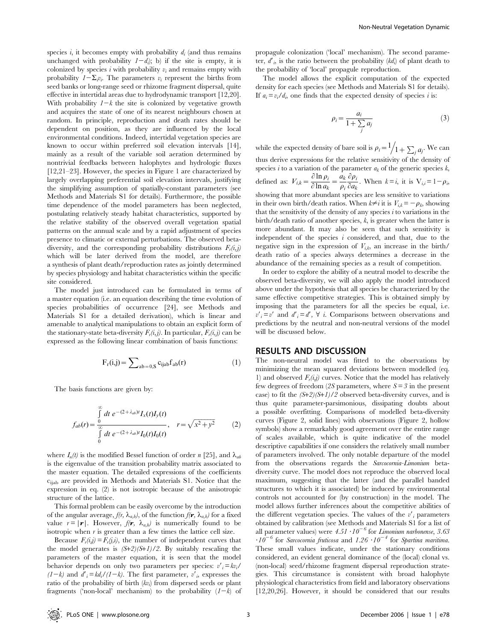species i, it becomes empty with probability  $d_i$  (and thus remains unchanged with probability  $1-d_i$ ; b) if the site is empty, it is colonized by species i with probability  $v_i$  and remains empty with probability  $1-\sum_i v_i$ . The parameters  $v_i$  represent the births from seed banks or long-range seed or rhizome fragment dispersal, quite effective in intertidal areas due to hydrodynamic transport [12,20]. With probability  $1-k$  the site is colonized by vegetative growth and acquires the state of one of its nearest neighbours chosen at random. In principle, reproduction and death rates should be dependent on position, as they are influenced by the local environmental conditions. Indeed, intertidal vegetation species are known to occur within preferred soil elevation intervals [14], mainly as a result of the variable soil aeration determined by nontrivial feedbacks between halophytes and hydrologic fluxes [12,21–23]. However, the species in Figure 1 are characterized by largely overlapping preferential soil elevation intervals, justifying the simplifying assumption of spatially-constant parameters (see Methods and Materials S1 for details). Furthermore, the possible time dependence of the model parameters has been neglected, postulating relatively steady habitat characteristics, supported by the relative stability of the observed overall vegetation spatial patterns on the annual scale and by a rapid adjustment of species presence to climatic or external perturbations. The observed betadiversity, and the corresponding probability distributions  $F_r(i,j)$ which will be later derived from the model, are therefore a synthesis of plant death/reproduction rates as jointly determined by species physiology and habitat characteristics within the specific site considered.

The model just introduced can be formulated in terms of a master equation (i.e. an equation describing the time evolution of species probabilities of occurrence [24], see Methods and Materials S1 for a detailed derivation), which is linear and amenable to analytical manipulations to obtain an explicit form of the stationary-state beta-diversity  $F_r(i, j)$ . In particular,  $F_r(i, j)$  can be expressed as the following linear combination of basis functions:

$$
F_r(i,j)\!=\sum\nolimits_{ab=0,S}c_{ijab}f_{ab}(r)\ \ \hspace{1.5cm} (1)
$$

The basis functions are given by:

$$
f_{ab}(r) = \frac{\int_{0}^{\infty} dt \ e^{-(2+\lambda_{ab})t} I_{x}(t) I_{y}(t)}{\int_{0}^{\infty} dt \ e^{-(2+\lambda_{ab})t} I_{0}(t) I_{0}(t)}, \quad r = \sqrt{x^{2} + y^{2}}
$$
(2)

where  $I_n(t)$  is the modified Bessel function of order n [25], and  $\lambda_{ab}$ is the eigenvalue of the transition probability matrix associated to the master equation. The detailed expressions of the coefficients cijab are provided in Methods and Materials S1. Notice that the expression in eq. (2) is not isotropic because of the anisotropic structure of the lattice.

This formal problem can be easily overcome by the introduction of the angular average,  $f(r, \lambda_{a,b})$ , of the function  $f(r, \lambda_{a,b})$  for a fixed value  $r=|\mathbf{r}|$ . However,  $f(\mathbf{r}, \lambda_{a,b})$  is numerically found to be isotropic when  $r$  is greater than a few times the lattice cell size.

Because  $F_r(i,j) = F_r(j,i)$ , the number of independent curves that the model generates is  $(S+2)(S+1)/2$ . By suitably rescaling the parameters of the master equation, it is seen that the model behavior depends on only two parameters per species:  $v_i = kv_i$  $(1-k)$  and  $d'_{i} = kd_{i}/(1-k)$ . The first parameter,  $v'_{i}$ , expresses the ratio of the probability of birth  $\langle kv_i \rangle$  from dispersed seeds or plant fragments ('non-local' mechanism) to the probability  $(1-k)$  of propagule colonization ('local' mechanism). The second parameter,  $d'_{i}$ , is the ratio between the probability (kd<sub>i</sub>) of plant death to the probability of 'local' propagule reproduction.

The model allows the explicit computation of the expected density for each species (see Methods and Materials S1 for details). If  $a_i = v_i/d_i$ , one finds that the expected density of species i is:

$$
\rho_i = \frac{a_i}{1 + \sum_j a_j} \tag{3}
$$

while the expected density of bare soil is  $\rho_i = \frac{1}{1} \sum_j a_j$ . We can thus derive expressions for the relative sensitivity of the density of species i to a variation of the parameter  $a_k$  of the generic species  $k$ , defined as:  $V_{i,k} = \frac{\partial \ln \rho_i}{\partial \ln a_k}$  $=\frac{a_k}{a_k}$  $\rho_i$  $\partial \rho_i$  $\frac{\partial P_i}{\partial a_k}$ . When  $k = i$ , it is  $V_{i,i} = 1 - \rho_i$ ,

showing that more abundant species are less sensitive to variations in their own birth/death ratios. When  $k\neq i$  it is  $V_{ik}=-\rho_k$ , showing that the sensitivity of the density of any species  $i$  to variations in the birth/death ratio of another species,  $k$ , is greater when the latter is more abundant. It may also be seen that such sensitivity is independent of the species  $i$  considered, and that, due to the negative sign in the expression of  $V_{ik}$ , an increase in the birth/ death ratio of a species always determines a decrease in the abundance of the remaining species as a result of competition.

In order to explore the ability of a neutral model to describe the observed beta-diversity, we will also apply the model introduced above under the hypothesis that all species be characterized by the same effective competitive strategies. This is obtained simply by imposing that the parameters for all the species be equal, i.e.  $v'_{i}=v'$  and  $d'_{i}=d'$ ,  $\forall i$ . Comparisons between observations and predictions by the neutral and non-neutral versions of the model will be discussed below.

## RESULTS AND DISCUSSION

The non-neutral model was fitted to the observations by minimizing the mean squared deviations between modelled (eq. 1) and observed  $F_r(i,j)$  curves. Notice that the model has relatively few degrees of freedom (2S parameters, where  $S=3$  in the present case) to fit the  $(S+2)(S+1)/2$  observed beta-diversity curves, and is thus quite parameter-parsimonious, dissipating doubts about a possible overfitting. Comparisons of modelled beta-diversity curves (Figure 2, solid lines) with observations (Figure 2, hollow symbols) show a remarkably good agreement over the entire range of scales available, which is quite indicative of the model descriptive capabilities if one considers the relatively small number of parameters involved. The only notable departure of the model from the observations regards the Sarcocornia-Limonium betadiversity curve. The model does not reproduce the observed local maximum, suggesting that the latter (and the parallel banded structures to which it is associated) be induced by environmental controls not accounted for (by construction) in the model. The model allows further inferences about the competitive abilities of the different vegetation species. The values of the  $v_i$  parameters obtained by calibration (see Methods and Materials S1 for a list of all parameter values) were  $4.51 \cdot 10^{-6}$  for Limonium narbonense, 3.63  $\cdot10^{-6}$  for Sarcocornia fruticosa and 1.26  $\cdot10^{-4}$  for Spartina maritima. These small values indicate, under the stationary conditions considered, an evident general dominance of the (local) clonal vs. (non-local) seed/rhizome fragment dispersal reproduction strategies. This circumstance is consistent with broad halophyte physiological characteristics from field and laboratory observations [12,20,26]. However, it should be considered that our results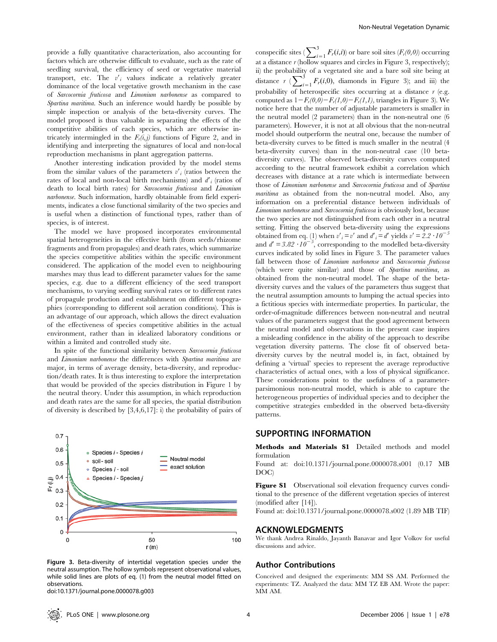provide a fully quantitative characterization, also accounting for factors which are otherwise difficult to evaluate, such as the rate of seedling survival, the efficiency of seed or vegetative material transport, etc. The  $v_i'$  values indicate a relatively greater dominance of the local vegetative growth mechanism in the case of Sarcocornia fruticosa and Limonium narbonense as compared to Spartina maritima. Such an inference would hardly be possible by simple inspection or analysis of the beta-diversity curves. The model proposed is thus valuable in separating the effects of the competitive abilities of each species, which are otherwise intricately intermingled in the  $F_r(i,j)$  functions of Figure 2, and in identifying and interpreting the signatures of local and non-local reproduction mechanisms in plant aggregation patterns.

Another interesting indication provided by the model stems from the similar values of the parameters  $v'$  (ratios between the rates of local and non-local birth mechanisms) and  $d'_i$  (ratios of death to local birth rates) for Sarcocornia fruticosa and Limonium narbonense. Such information, hardly obtainable from field experiments, indicates a close functional similarity of the two species and is useful when a distinction of functional types, rather than of species, is of interest.

The model we have proposed incorporates environmental spatial heterogeneities in the effective birth (from seeds/rhizome fragments and from propagules) and death rates, which summarize the species competitive abilities within the specific environment considered. The application of the model even to neighbouring marshes may thus lead to different parameter values for the same species, e.g. due to a different efficiency of the seed transport mechanisms, to varying seedling survival rates or to different rates of propagule production and establishment on different topographies (corresponding to different soil aeration conditions). This is an advantage of our approach, which allows the direct evaluation of the effectiveness of species competitive abilities in the actual environment, rather than in idealized laboratory conditions or within a limited and controlled study site.

In spite of the functional similarity between Sarcocornia fruticosa and Limonium narbonense the differences with Spartina maritima are major, in terms of average density, beta-diversity, and reproduction/death rates. It is thus interesting to explore the interpretation that would be provided of the species distribution in Figure 1 by the neutral theory. Under this assumption, in which reproduction and death rates are the same for all species, the spatial distribution of diversity is described by [3,4,6,17]: i) the probability of pairs of



Figure 3. Beta-diversity of intertidal vegetation species under the neutral assumption. The hollow symbols represent observational values, while solid lines are plots of eq. (1) from the neutral model fitted on observations.

doi:10.1371/journal.pone.0000078.g003

conspecific sites  $\left(\sum_{i=1}^{3} F_r(i,i)\right)$  or bare soil sites  $(F_r(0,0))$  occurring at a distance  $r$  (hollow squares and circles in Figure 3, respectively); ii) the probability of a vegetated site and a bare soil site being at distance  $r$  ( $\sum_{i=1}^{3} F_r(i,0)$ , diamonds in Figure 3); and iii) the probability of heterospecific sites occurring at a distance  $r$  (e.g. computed as  $1-F_r(0,0)-F_r(1,0)-F_r(1,1)$ , triangles in Figure 3). We notice here that the number of adjustable parameters is smaller in the neutral model (2 parameters) than in the non-neutral one (6 parameters). However, it is not at all obvious that the non-neutral model should outperform the neutral one, because the number of beta-diversity curves to be fitted is much smaller in the neutral (4 beta-diversity curves) than in the non-neutral case (10 betadiversity curves). The observed beta-diversity curves computed according to the neutral framework exhibit a correlation which decreases with distance at a rate which is intermediate between those of Limonium narbonense and Sarcocornia fruticosa and of Spartina maritima as obtained from the non-neutral model. Also, any information on a preferential distance between individuals of Limonium narbonense and Sarcocornia fruticosa is obviously lost, because the two species are not distinguished from each other in a neutral setting. Fitting the observed beta-diversity using the expressions obtained from eq. (1) when  $v'_i = v'_i$  and  $d'_i = d'_i$  yields  $v'_i = 2 \cdot 2 \cdot 10^{-5}$ and  $d' = 3.82 \cdot 10^{-5}$ , corresponding to the modelled beta-diversity curves indicated by solid lines in Figure 3. The parameter values fall between those of Limonium narbonense and Sarcocornia fruticosa (which were quite similar) and those of Spartina maritima, as obtained from the non-neutral model. The shape of the betadiversity curves and the values of the parameters thus suggest that the neutral assumption amounts to lumping the actual species into a fictitious species with intermediate properties. In particular, the order-of-magnitude differences between non-neutral and neutral values of the parameters suggest that the good agreement between the neutral model and observations in the present case inspires a misleading confidence in the ability of the approach to describe vegetation diversity patterns. The close fit of observed betadiversity curves by the neutral model is, in fact, obtained by defining a 'virtual' species to represent the average reproductive characteristics of actual ones, with a loss of physical significance. These considerations point to the usefulness of a parameterparsimonious non-neutral model, which is able to capture the heterogeneous properties of individual species and to decipher the competitive strategies embedded in the observed beta-diversity patterns.

# SUPPORTING INFORMATION

Methods and Materials S1 Detailed methods and model formulation

Found at: doi:10.1371/journal.pone.0000078.s001 (0.17 MB DOC)

Figure S1 Observational soil elevation frequency curves conditional to the presence of the different vegetation species of interest (modified after [14]).

Found at: doi:10.1371/journal.pone.0000078.s002 (1.89 MB TIF)

## ACKNOWLEDGMENTS

We thank Andrea Rinaldo, Jayanth Banavar and Igor Volkov for useful discussions and advice.

#### Author Contributions

Conceived and designed the experiments: MM SS AM. Performed the experiments: TZ. Analyzed the data: MM TZ EB AM. Wrote the paper: MM AM.